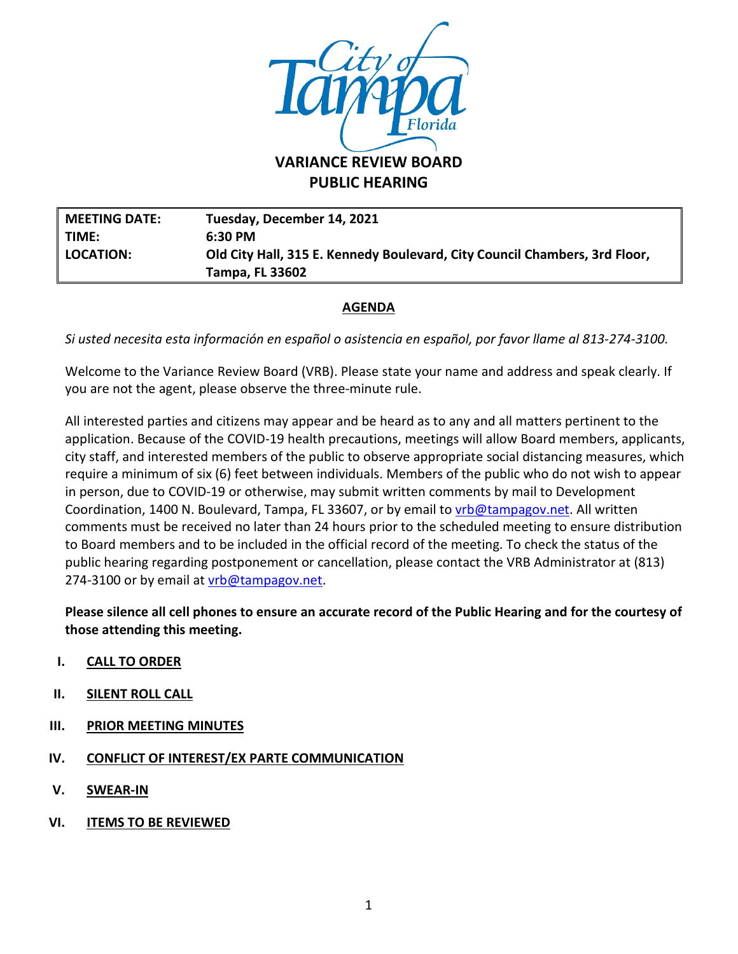

**PUBLIC HEARING**

**MEETING DATE: Tuesday, December 14, 2021 TIME: 6:30 PM LOCATION: Old City Hall, 315 E. Kennedy Boulevard, City Council Chambers, 3rd Floor, Tampa, FL 33602**

# **AGENDA**

*Si usted necesita esta información en español o asistencia en español, por favor llame al 813-274-3100.*

Welcome to the Variance Review Board (VRB). Please state your name and address and speak clearly. If you are not the agent, please observe the three-minute rule.

All interested parties and citizens may appear and be heard as to any and all matters pertinent to the application. Because of the COVID-19 health precautions, meetings will allow Board members, applicants, city staff, and interested members of the public to observe appropriate social distancing measures, which require a minimum of six (6) feet between individuals. Members of the public who do not wish to appear in person, due to COVID-19 or otherwise, may submit written comments by mail to Development Coordination, 1400 N. Boulevard, Tampa, FL 33607, or by email to *vrb@tampagov.net*. All written comments must be received no later than 24 hours prior to the scheduled meeting to ensure distribution to Board members and to be included in the official record of the meeting. To check the status of the public hearing regarding postponement or cancellation, please contact the VRB Administrator at (813) 274-3100 or by email at *vrb@tampagov.net.* 

**Please silence all cell phones to ensure an accurate record of the Public Hearing and for the courtesy of those attending this meeting.** 

- **I. CALL TO ORDER**
- **II. SILENT ROLL CALL**
- **III. PRIOR MEETING MINUTES**
- **IV. CONFLICT OF INTEREST/EX PARTE COMMUNICATION**
- **V. SWEAR-IN**
- **VI. ITEMS TO BE REVIEWED**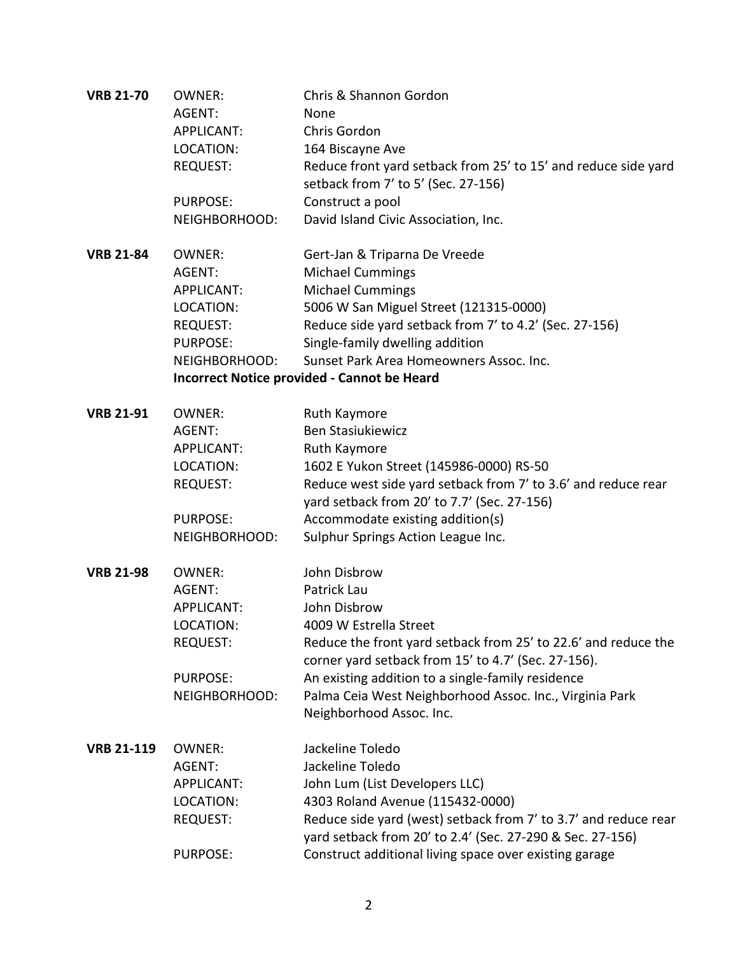| <b>VRB 21-70</b>  | <b>OWNER:</b>                                      | Chris & Shannon Gordon                                                                                                       |  |  |
|-------------------|----------------------------------------------------|------------------------------------------------------------------------------------------------------------------------------|--|--|
|                   | AGENT:                                             | None                                                                                                                         |  |  |
|                   | <b>APPLICANT:</b>                                  | Chris Gordon                                                                                                                 |  |  |
|                   | LOCATION:                                          | 164 Biscayne Ave                                                                                                             |  |  |
|                   | <b>REQUEST:</b>                                    | Reduce front yard setback from 25' to 15' and reduce side yard                                                               |  |  |
|                   |                                                    | setback from 7' to 5' (Sec. 27-156)                                                                                          |  |  |
|                   | <b>PURPOSE:</b>                                    | Construct a pool                                                                                                             |  |  |
|                   | NEIGHBORHOOD:                                      | David Island Civic Association, Inc.                                                                                         |  |  |
| <b>VRB 21-84</b>  | <b>OWNER:</b>                                      | Gert-Jan & Triparna De Vreede                                                                                                |  |  |
|                   | AGENT:                                             | <b>Michael Cummings</b>                                                                                                      |  |  |
|                   | <b>APPLICANT:</b>                                  | <b>Michael Cummings</b>                                                                                                      |  |  |
|                   | LOCATION:                                          | 5006 W San Miguel Street (121315-0000)                                                                                       |  |  |
|                   | <b>REQUEST:</b>                                    | Reduce side yard setback from 7' to 4.2' (Sec. 27-156)                                                                       |  |  |
|                   | <b>PURPOSE:</b>                                    | Single-family dwelling addition                                                                                              |  |  |
|                   | NEIGHBORHOOD:                                      | Sunset Park Area Homeowners Assoc. Inc.                                                                                      |  |  |
|                   | <b>Incorrect Notice provided - Cannot be Heard</b> |                                                                                                                              |  |  |
| <b>VRB 21-91</b>  | <b>OWNER:</b>                                      | Ruth Kaymore                                                                                                                 |  |  |
|                   | AGENT:                                             | <b>Ben Stasiukiewicz</b>                                                                                                     |  |  |
|                   | <b>APPLICANT:</b>                                  | Ruth Kaymore                                                                                                                 |  |  |
|                   | LOCATION:                                          | 1602 E Yukon Street (145986-0000) RS-50                                                                                      |  |  |
|                   | <b>REQUEST:</b>                                    | Reduce west side yard setback from 7' to 3.6' and reduce rear<br>yard setback from 20' to 7.7' (Sec. 27-156)                 |  |  |
|                   | <b>PURPOSE:</b>                                    | Accommodate existing addition(s)                                                                                             |  |  |
|                   | NEIGHBORHOOD:                                      | Sulphur Springs Action League Inc.                                                                                           |  |  |
|                   |                                                    |                                                                                                                              |  |  |
| <b>VRB 21-98</b>  | <b>OWNER:</b>                                      | John Disbrow                                                                                                                 |  |  |
|                   | AGENT:                                             | Patrick Lau                                                                                                                  |  |  |
|                   | <b>APPLICANT:</b>                                  | John Disbrow                                                                                                                 |  |  |
|                   | LOCATION:                                          | 4009 W Estrella Street                                                                                                       |  |  |
|                   | <b>REQUEST:</b>                                    | Reduce the front yard setback from 25' to 22.6' and reduce the                                                               |  |  |
|                   |                                                    | corner yard setback from 15' to 4.7' (Sec. 27-156).                                                                          |  |  |
|                   | <b>PURPOSE:</b>                                    | An existing addition to a single-family residence                                                                            |  |  |
|                   | NEIGHBORHOOD:                                      | Palma Ceia West Neighborhood Assoc. Inc., Virginia Park                                                                      |  |  |
|                   |                                                    | Neighborhood Assoc. Inc.                                                                                                     |  |  |
| <b>VRB 21-119</b> | <b>OWNER:</b>                                      | Jackeline Toledo                                                                                                             |  |  |
|                   | AGENT:                                             | Jackeline Toledo                                                                                                             |  |  |
|                   | <b>APPLICANT:</b>                                  | John Lum (List Developers LLC)                                                                                               |  |  |
|                   | LOCATION:                                          | 4303 Roland Avenue (115432-0000)                                                                                             |  |  |
|                   | <b>REQUEST:</b>                                    | Reduce side yard (west) setback from 7' to 3.7' and reduce rear<br>yard setback from 20' to 2.4' (Sec. 27-290 & Sec. 27-156) |  |  |
|                   | <b>PURPOSE:</b>                                    | Construct additional living space over existing garage                                                                       |  |  |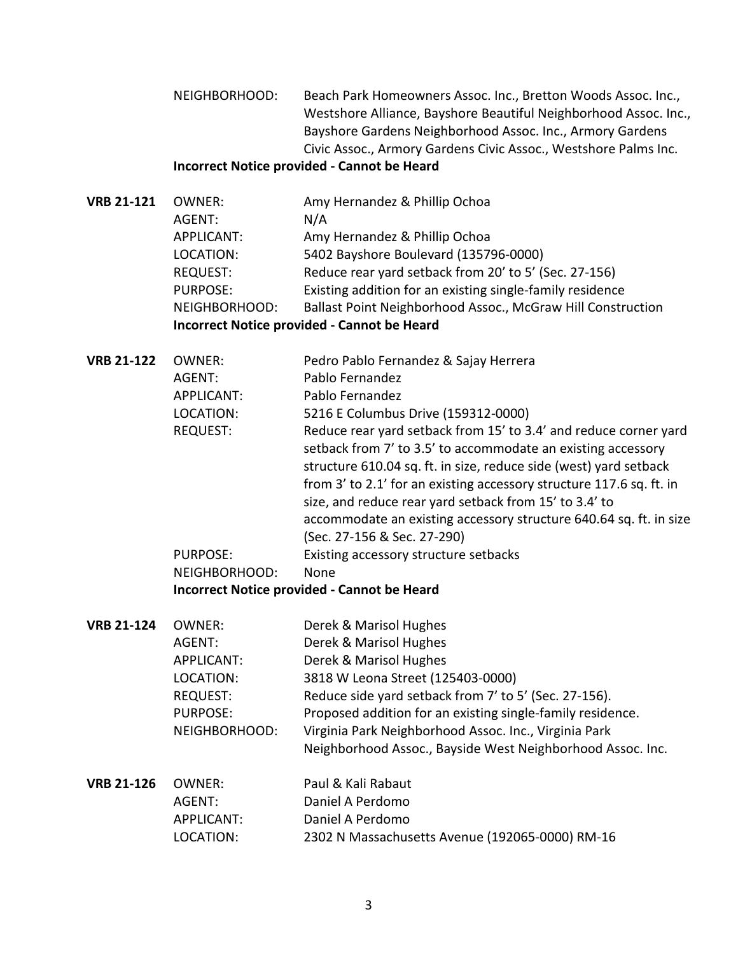NEIGHBORHOOD: Beach Park Homeowners Assoc. Inc., Bretton Woods Assoc. Inc., Westshore Alliance, Bayshore Beautiful Neighborhood Assoc. Inc., Bayshore Gardens Neighborhood Assoc. Inc., Armory Gardens Civic Assoc., Armory Gardens Civic Assoc., Westshore Palms Inc.

### **Incorrect Notice provided - Cannot be Heard**

- **VRB 21-121** OWNER: Amy Hernandez & Phillip Ochoa AGENT: N/A APPLICANT: Amy Hernandez & Phillip Ochoa LOCATION: 5402 Bayshore Boulevard (135796-0000) REQUEST: Reduce rear yard setback from 20' to 5' (Sec. 27-156) PURPOSE: Existing addition for an existing single-family residence NEIGHBORHOOD: Ballast Point Neighborhood Assoc., McGraw Hill Construction **Incorrect Notice provided - Cannot be Heard**
- **VRB 21-122** OWNER: Pedro Pablo Fernandez & Sajay Herrera AGENT: Pablo Fernandez APPLICANT: Pablo Fernandez LOCATION: 5216 E Columbus Drive (159312-0000) REQUEST: Reduce rear yard setback from 15' to 3.4' and reduce corner yard setback from 7' to 3.5' to accommodate an existing accessory structure 610.04 sq. ft. in size, reduce side (west) yard setback from 3' to 2.1' for an existing accessory structure 117.6 sq. ft. in size, and reduce rear yard setback from 15' to 3.4' to accommodate an existing accessory structure 640.64 sq. ft. in size (Sec. 27-156 & Sec. 27-290) PURPOSE: Existing accessory structure setbacks NEIGHBORHOOD: None **Incorrect Notice provided - Cannot be Heard**
- **VRB 21-124** OWNER: Derek & Marisol Hughes AGENT: Derek & Marisol Hughes APPLICANT: Derek & Marisol Hughes LOCATION: 3818 W Leona Street (125403-0000) REQUEST: Reduce side yard setback from 7' to 5' (Sec. 27-156). PURPOSE: Proposed addition for an existing single-family residence. NEIGHBORHOOD: Virginia Park Neighborhood Assoc. Inc., Virginia Park Neighborhood Assoc., Bayside West Neighborhood Assoc. Inc.
- **VRB 21-126** OWNER: Paul & Kali Rabaut AGENT: Daniel A Perdomo APPLICANT: Daniel A Perdomo LOCATION: 2302 N Massachusetts Avenue (192065-0000) RM-16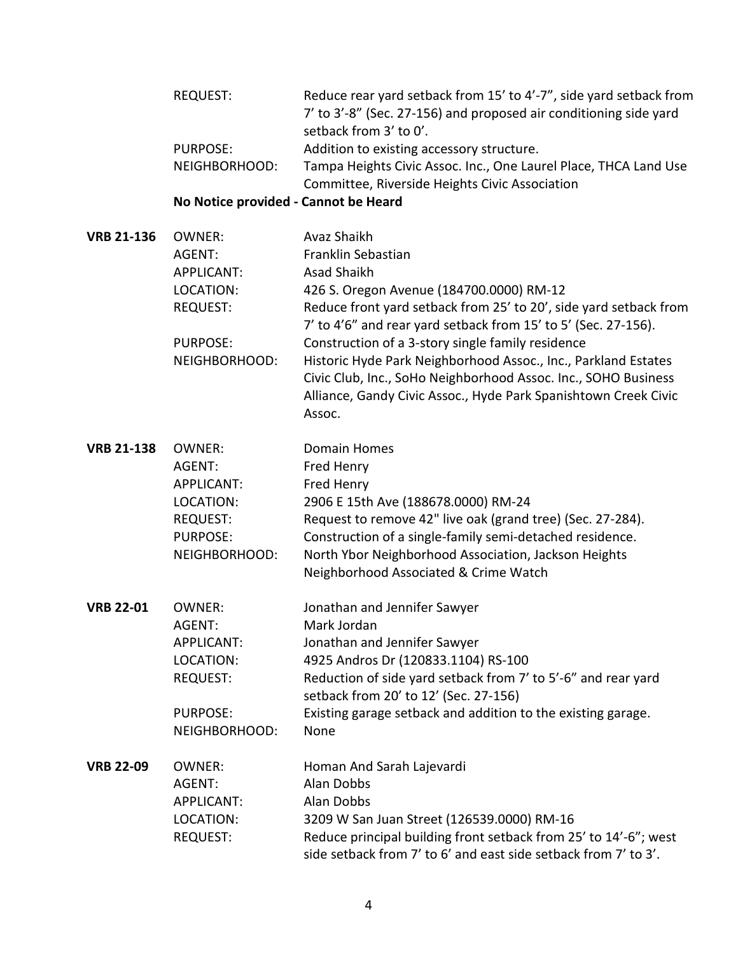| REQUEST:                                                                                                                                              | Reduce rear yard setback from 15' to 4'-7", side yard setback from |
|-------------------------------------------------------------------------------------------------------------------------------------------------------|--------------------------------------------------------------------|
|                                                                                                                                                       | 7' to 3'-8" (Sec. 27-156) and proposed air conditioning side yard  |
|                                                                                                                                                       | setback from 3' to 0'.                                             |
| PURPOSE:                                                                                                                                              | Addition to existing accessory structure.                          |
| $\overline{N}$ $\overline{N}$ $\overline{N}$ $\overline{N}$ $\overline{N}$ $\overline{N}$ $\overline{N}$ $\overline{N}$ $\overline{N}$ $\overline{N}$ | Tampa Usishte Civis Associate One Lough Disso TUCA Lond Use        |

NEIGHBORHOOD: Tampa Heights Civic Assoc. Inc., One Laurel Place, THCA Land Use Committee, Riverside Heights Civic Association

## **No Notice provided - Cannot be Heard**

| <b>VRB 21-136</b> | OWNER:          | Avaz Shaikh                                                       |
|-------------------|-----------------|-------------------------------------------------------------------|
|                   | AGENT:          | Franklin Sebastian                                                |
|                   | APPLICANT:      | Asad Shaikh                                                       |
|                   | LOCATION:       | 426 S. Oregon Avenue (184700.0000) RM-12                          |
|                   | <b>REQUEST:</b> | Reduce front yard setback from 25' to 20', side yard setback from |
|                   |                 | 7' to 4'6" and rear yard setback from 15' to 5' (Sec. 27-156).    |
|                   | <b>PURPOSE:</b> | Construction of a 3-story single family residence                 |
|                   | NEIGHBORHOOD:   | Historic Hyde Park Neighborhood Assoc., Inc., Parkland Estates    |
|                   |                 | Civic Club, Inc., SoHo Neighborhood Assoc. Inc., SOHO Business    |
|                   |                 | Alliance, Gandy Civic Assoc., Hyde Park Spanishtown Creek Civic   |
|                   |                 | Assoc.                                                            |
|                   |                 |                                                                   |

- **VRB 21-138** OWNER: Domain Homes AGENT: Fred Henry APPLICANT: Fred Henry LOCATION: 2906 E 15th Ave (188678.0000) RM-24 REQUEST: Request to remove 42" live oak (grand tree) (Sec. 27-284). PURPOSE: Construction of a single-family semi-detached residence. NEIGHBORHOOD: North Ybor Neighborhood Association, Jackson Heights Neighborhood Associated & Crime Watch
- **VRB 22-01** OWNER: Jonathan and Jennifer Sawyer AGENT: Mark Jordan APPLICANT: Jonathan and Jennifer Sawyer LOCATION: 4925 Andros Dr (120833.1104) RS-100 REQUEST: Reduction of side yard setback from 7' to 5'-6" and rear yard setback from 20' to 12' (Sec. 27-156) PURPOSE: Existing garage setback and addition to the existing garage. NEIGHBORHOOD: None
- **VRB 22-09** OWNER: Homan And Sarah Lajevardi AGENT: Alan Dobbs APPLICANT: Alan Dobbs LOCATION: 3209 W San Juan Street (126539.0000) RM-16 REQUEST: Reduce principal building front setback from 25' to 14'-6"; west side setback from 7' to 6' and east side setback from 7' to 3'.